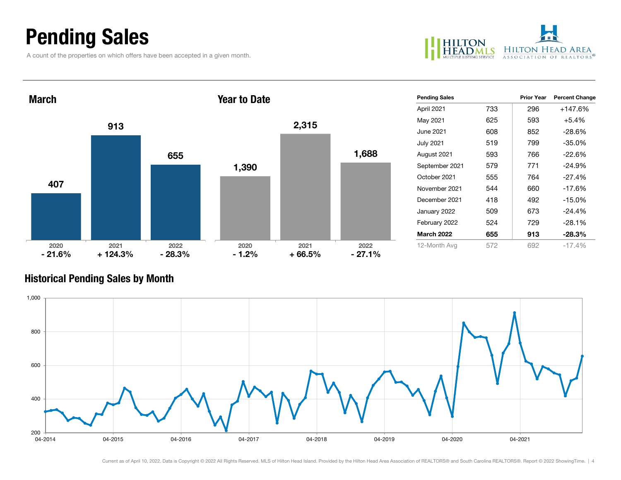## Pending Sales

A count of the properties on which offers have been accepted in a given month.



| <b>March</b>     |                   | <b>Year to Date</b> |                 |                  | <b>Pending Sales</b> |                   | <b>Prior Year</b> | <b>Percent Change</b> |          |
|------------------|-------------------|---------------------|-----------------|------------------|----------------------|-------------------|-------------------|-----------------------|----------|
|                  |                   |                     |                 |                  | April 2021           | 733               | 296               | +147.6%               |          |
|                  |                   |                     |                 | 2,315            |                      | May 2021          | 625               | 593                   | $+5.4%$  |
| 913              |                   |                     |                 |                  |                      | June 2021         | 608               | 852                   | $-28.6%$ |
|                  |                   |                     |                 |                  |                      | <b>July 2021</b>  | 519               | 799                   | $-35.0%$ |
|                  |                   | 655                 |                 |                  | 1,688                | August 2021       | 593               | 766                   | $-22.6%$ |
| 407              |                   |                     | 1,390           |                  |                      | September 2021    | 579               | 771                   | $-24.9%$ |
|                  |                   |                     |                 |                  |                      | October 2021      | 555               | 764                   | $-27.4%$ |
|                  |                   |                     |                 |                  |                      | November 2021     | 544               | 660                   | $-17.6%$ |
|                  |                   |                     |                 |                  |                      | December 2021     | 418               | 492                   | $-15.0%$ |
|                  |                   |                     |                 |                  |                      | January 2022      | 509               | 673                   | $-24.4%$ |
|                  |                   |                     |                 |                  |                      | February 2022     | 524               | 729                   | $-28.1%$ |
|                  |                   |                     |                 |                  |                      | <b>March 2022</b> | 655               | 913                   | $-28.3%$ |
| 2020<br>$-21.6%$ | 2021<br>$+124.3%$ | 2022<br>$-28.3%$    | 2020<br>$-1.2%$ | 2021<br>$+66.5%$ | 2022<br>$-27.1%$     | 12-Month Avg      | 572               | 692                   | $-17.4%$ |

#### Historical Pending Sales by Month

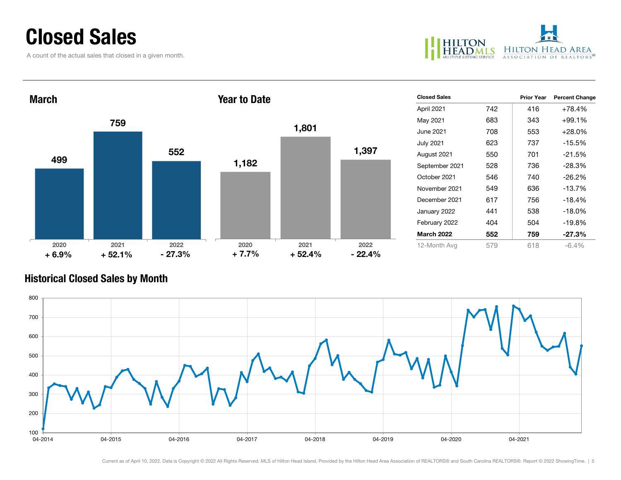### Closed Sales

A count of the actual sales that closed in a given month.



| <b>March</b>    |                  |                  | <b>Year to Date</b> |                  |                  | <b>Closed Sales</b> |     | <b>Prior Year</b> | <b>Percent Change</b> |
|-----------------|------------------|------------------|---------------------|------------------|------------------|---------------------|-----|-------------------|-----------------------|
|                 |                  |                  |                     |                  |                  | April 2021          | 742 | 416               | +78.4%                |
| 759             |                  |                  |                     | 1,801            |                  | May 2021            | 683 | 343               | +99.1%                |
|                 |                  |                  |                     |                  |                  | June 2021           | 708 | 553               | $+28.0%$              |
|                 |                  |                  |                     |                  |                  | <b>July 2021</b>    | 623 | 737               | $-15.5%$              |
| 499             |                  | 552              |                     |                  | 1,397            | August 2021         | 550 | 701               | $-21.5%$              |
|                 |                  |                  | 1,182               |                  |                  | September 2021      | 528 | 736               | $-28.3%$              |
|                 |                  |                  |                     |                  |                  | October 2021        | 546 | 740               | $-26.2%$              |
|                 |                  |                  |                     |                  |                  | November 2021       | 549 | 636               | $-13.7%$              |
|                 |                  |                  |                     |                  |                  | December 2021       | 617 | 756               | $-18.4%$              |
|                 |                  |                  |                     |                  |                  | January 2022        | 441 | 538               | $-18.0\%$             |
|                 |                  |                  |                     |                  |                  | February 2022       | 404 | 504               | $-19.8%$              |
|                 |                  |                  |                     |                  |                  | <b>March 2022</b>   | 552 | 759               | $-27.3%$              |
| 2020<br>$+6.9%$ | 2021<br>$+52.1%$ | 2022<br>$-27.3%$ | 2020<br>$+7.7%$     | 2021<br>$+52.4%$ | 2022<br>$-22.4%$ | 12-Month Avg        | 579 | 618               | $-6.4%$               |

#### Historical Closed Sales by Month

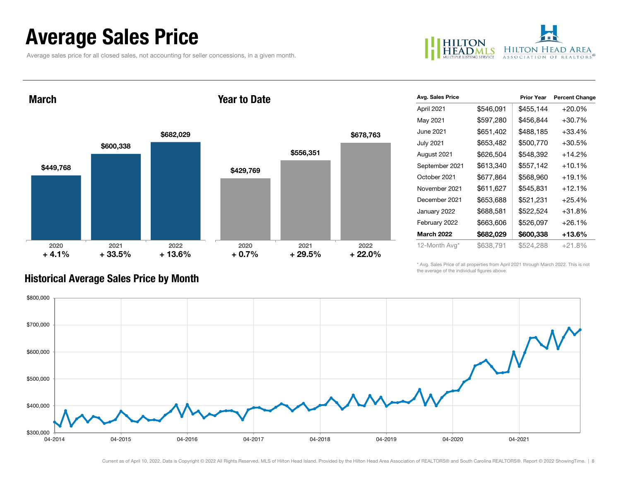## Average Sales Price

Average sales price for all closed sales, not accounting for seller concessions, in a given month.



March

#### Year to Date



| Avg. Sales Price  |           | <b>Prior Year</b> | <b>Percent Change</b> |
|-------------------|-----------|-------------------|-----------------------|
| April 2021        | \$546,091 | \$455,144         | $+20.0%$              |
| May 2021          | \$597,280 | \$456,844         | $+30.7%$              |
| June 2021         | \$651,402 | \$488,185         | $+33.4%$              |
| <b>July 2021</b>  | \$653,482 | \$500,770         | $+30.5%$              |
| August 2021       | \$626,504 | \$548,392         | $+14.2%$              |
| September 2021    | \$613,340 | \$557,142         | $+10.1%$              |
| October 2021      | \$677,864 | \$568,960         | $+19.1%$              |
| November 2021     | \$611,627 | \$545,831         | $+12.1%$              |
| December 2021     | \$653,688 | \$521,231         | $+25.4%$              |
| January 2022      | \$688,581 | \$522,524         | $+31.8%$              |
| February 2022     | \$663,606 | \$526,097         | $+26.1%$              |
| <b>March 2022</b> | \$682,029 | \$600,338         | +13.6%                |
| 12-Month Avg*     | \$638,791 | \$524,288         | $+21.8%$              |

\* Avg. Sales Price of all properties from April 2021 through March 2022. This is not the average of the individual figures above.



#### Historical Average Sales Price by Month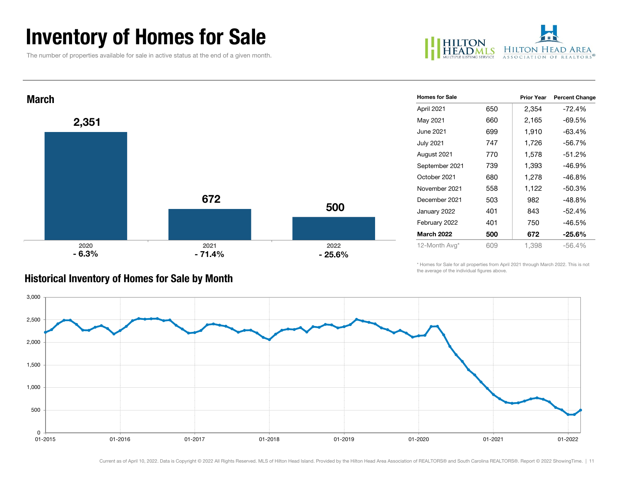## Inventory of Homes for Sale

The number of properties available for sale in active status at the end of a given month.





|  | <b>Historical Inventory of Homes for Sale by Month</b> |  |
|--|--------------------------------------------------------|--|
|  |                                                        |  |

| <b>Homes for Sale</b> |     | <b>Prior Year</b> | <b>Percent Change</b> |
|-----------------------|-----|-------------------|-----------------------|
| April 2021            | 650 | 2,354             | -72.4%                |
| May 2021              | 660 | 2,165             | -69.5%                |
| June 2021             | 699 | 1,910             | $-63.4%$              |
| July 2021             | 747 | 1,726             | $-56.7\%$             |
| August 2021           | 770 | 1,578             | $-51.2%$              |
| September 2021        | 739 | 1,393             | $-46.9%$              |
| October 2021          | 680 | 1,278             | $-46.8%$              |
| November 2021         | 558 | 1,122             | $-50.3%$              |
| December 2021         | 503 | 982               | $-48.8%$              |
| January 2022          | 401 | 843               | $-52.4%$              |
| February 2022         | 401 | 750               | -46.5%                |
| <b>March 2022</b>     | 500 | 672               | $-25.6\%$             |
| 12-Month Avg*         | 609 | 1.398             | $-56.4%$              |

\* Homes for Sale for all properties from April 2021 through March 2022. This is not the average of the individual figures above.